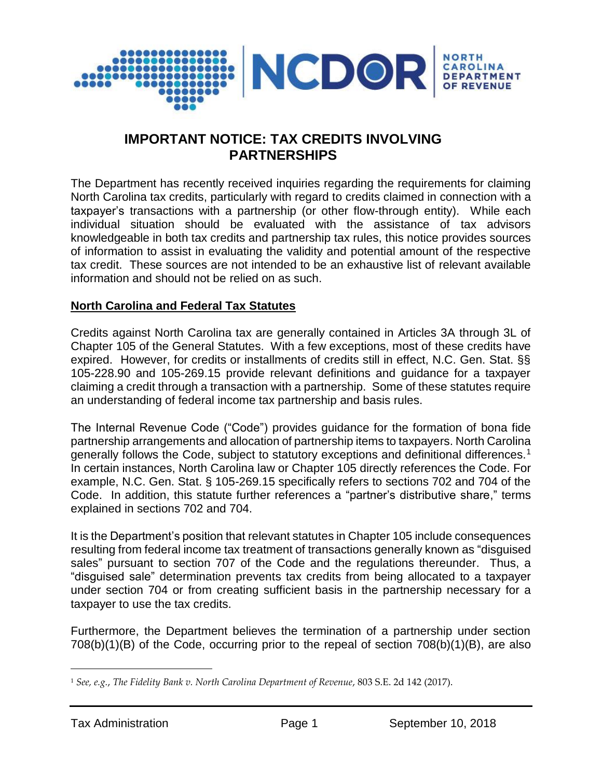

# **IMPORTANT NOTICE: TAX CREDITS INVOLVING PARTNERSHIPS**

The Department has recently received inquiries regarding the requirements for claiming North Carolina tax credits, particularly with regard to credits claimed in connection with a taxpayer's transactions with a partnership (or other flow-through entity). While each individual situation should be evaluated with the assistance of tax advisors knowledgeable in both tax credits and partnership tax rules, this notice provides sources of information to assist in evaluating the validity and potential amount of the respective tax credit. These sources are not intended to be an exhaustive list of relevant available information and should not be relied on as such.

### **North Carolina and Federal Tax Statutes**

Credits against North Carolina tax are generally contained in Articles 3A through 3L of Chapter 105 of the General Statutes. With a few exceptions, most of these credits have expired. However, for credits or installments of credits still in effect, N.C. Gen. Stat. §§ 105-228.90 and 105-269.15 provide relevant definitions and guidance for a taxpayer claiming a credit through a transaction with a partnership. Some of these statutes require an understanding of federal income tax partnership and basis rules.

The Internal Revenue Code ("Code") provides guidance for the formation of bona fide partnership arrangements and allocation of partnership items to taxpayers. North Carolina generally follows the Code, subject to statutory exceptions and definitional differences.<sup>1</sup> In certain instances, North Carolina law or Chapter 105 directly references the Code. For example, N.C. Gen. Stat. § 105-269.15 specifically refers to sections 702 and 704 of the Code. In addition, this statute further references a "partner's distributive share," terms explained in sections 702 and 704.

It is the Department's position that relevant statutes in Chapter 105 include consequences resulting from federal income tax treatment of transactions generally known as "disguised sales" pursuant to section 707 of the Code and the regulations thereunder. Thus, a "disguised sale" determination prevents tax credits from being allocated to a taxpayer under section 704 or from creating sufficient basis in the partnership necessary for a taxpayer to use the tax credits.

Furthermore, the Department believes the termination of a partnership under section 708(b)(1)(B) of the Code, occurring prior to the repeal of section 708(b)(1)(B), are also

 $\overline{a}$ 

<sup>1</sup> *See, e.g.*, *The Fidelity Bank v. North Carolina Department of Revenue*, 803 S.E. 2d 142 (2017).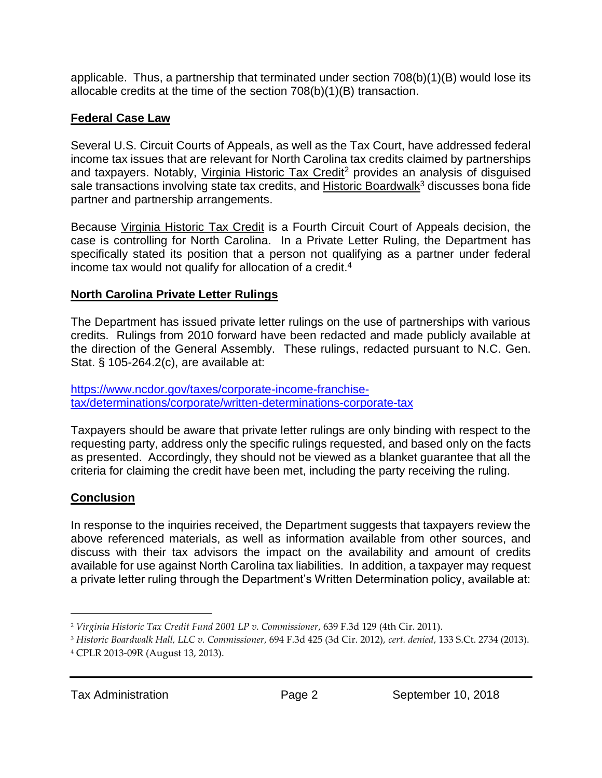applicable. Thus, a partnership that terminated under section 708(b)(1)(B) would lose its allocable credits at the time of the section 708(b)(1)(B) transaction.

## **Federal Case Law**

Several U.S. Circuit Courts of Appeals, as well as the Tax Court, have addressed federal income tax issues that are relevant for North Carolina tax credits claimed by partnerships and taxpayers. Notably, Virginia Historic Tax Credit<sup>2</sup> provides an analysis of disguised sale transactions involving state tax credits, and Historic Boardwalk<sup>3</sup> discusses bona fide partner and partnership arrangements.

Because Virginia Historic Tax Credit is a Fourth Circuit Court of Appeals decision, the case is controlling for North Carolina. In a Private Letter Ruling, the Department has specifically stated its position that a person not qualifying as a partner under federal income tax would not qualify for allocation of a credit.<sup>4</sup>

### **North Carolina Private Letter Rulings**

The Department has issued private letter rulings on the use of partnerships with various credits. Rulings from 2010 forward have been redacted and made publicly available at the direction of the General Assembly. These rulings, redacted pursuant to N.C. Gen. Stat. § 105-264.2(c), are available at:

### [https://www.ncdor.gov/taxes/corporate-income-franchise](https://www.ncdor.gov/taxes/corporate-income-franchise-tax/determinations/corporate/written-determinations-corporate-tax)[tax/determinations/corporate/written-determinations-corporate-tax](https://www.ncdor.gov/taxes/corporate-income-franchise-tax/determinations/corporate/written-determinations-corporate-tax)

Taxpayers should be aware that private letter rulings are only binding with respect to the requesting party, address only the specific rulings requested, and based only on the facts as presented. Accordingly, they should not be viewed as a blanket guarantee that all the criteria for claiming the credit have been met, including the party receiving the ruling.

# **Conclusion**

 $\overline{a}$ 

In response to the inquiries received, the Department suggests that taxpayers review the above referenced materials, as well as information available from other sources, and discuss with their tax advisors the impact on the availability and amount of credits available for use against North Carolina tax liabilities. In addition, a taxpayer may request a private letter ruling through the Department's Written Determination policy, available at:

<sup>2</sup> *Virginia Historic Tax Credit Fund 2001 LP v. Commissioner*, 639 F.3d 129 (4th Cir. 2011).

<sup>3</sup> *Historic Boardwalk Hall, LLC v. Commissioner*, 694 F.3d 425 (3d Cir. 2012), *cert. denied*, 133 S.Ct. 2734 (2013).

<sup>4</sup> CPLR 2013-09R (August 13, 2013).